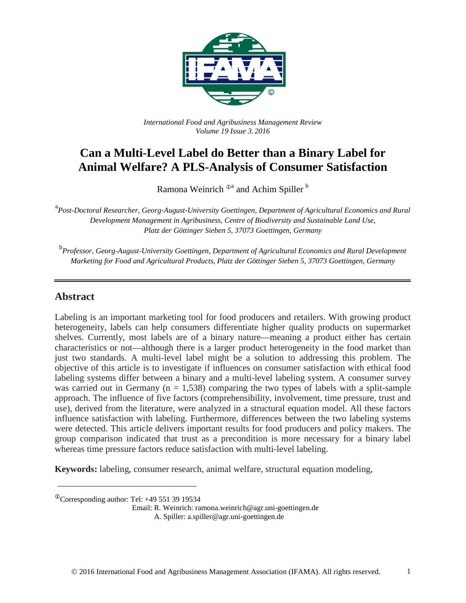

*International Food and Agribusiness Management Review Volume 19 Issue 3*, *2016*

# **Can a Multi-Level Label do Better than a Binary Label for Animal Welfare? A PLS-Analysis of Consumer Satisfaction**

Ramona Weinrich  $\mathbb{D}^a$  and Achim Spiller  $\mathbb{P}^b$ 

<sup>a</sup> Post-Doctoral Researcher, Georg-August-University Goettingen, Department of Agricultural Economics and Rural *Development Management in Agribusiness, Centre of Biodiversity and Sustainable Land Use, Platz der Göttinger Sieben 5, 37073 Goettingen, Germany*

b *Professor, Georg-August-University Goettingen, Department of Agricultural Economics and Rural Development Marketing for Food and Agricultural Products, Platz der Göttinger Sieben 5, 37073 Goettingen, Germany*

### **Abstract**

Labeling is an important marketing tool for food producers and retailers. With growing product heterogeneity, labels can help consumers differentiate higher quality products on supermarket shelves. Currently, most labels are of a binary nature—meaning a product either has certain characteristics or not—although there is a larger product heterogeneity in the food market than just two standards. A multi-level label might be a solution to addressing this problem. The objective of this article is to investigate if influences on consumer satisfaction with ethical food labeling systems differ between a binary and a multi-level labeling system. A consumer survey was carried out in Germany ( $n = 1,538$ ) comparing the two types of labels with a split-sample approach. The influence of five factors (comprehensibility, involvement, time pressure, trust and use), derived from the literature, were analyzed in a structural equation model. All these factors influence satisfaction with labeling. Furthermore, differences between the two labeling systems were detected. This article delivers important results for food producers and policy makers. The group comparison indicated that trust as a precondition is more necessary for a binary label whereas time pressure factors reduce satisfaction with multi-level labeling.

**Keywords:** labeling, consumer research, animal welfare, structural equation modeling,

 $^{\circ}$ Corresponding author: Tel: +49 551 39 19534

Email: R. Weinrich: ramona.weinrich@agr.uni-goettingen.de A. Spiller: a.spiller@agr.uni-goettingen.de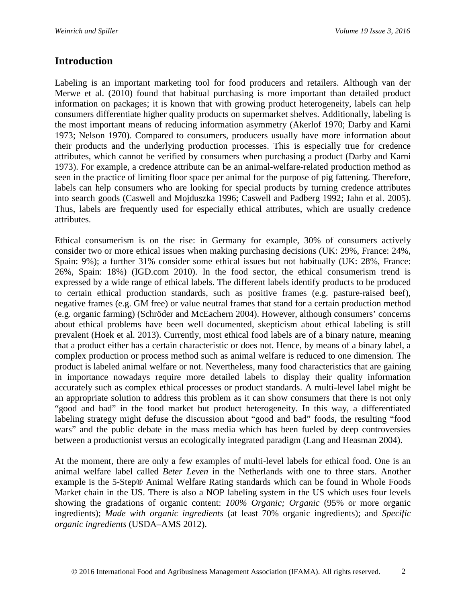## **Introduction**

Labeling is an important marketing tool for food producers and retailers. Although van der Merwe et al. (2010) found that habitual purchasing is more important than detailed product information on packages; it is known that with growing product heterogeneity, labels can help consumers differentiate higher quality products on supermarket shelves. Additionally, labeling is the most important means of reducing information asymmetry (Akerlof 1970; Darby and Karni 1973; Nelson 1970). Compared to consumers, producers usually have more information about their products and the underlying production processes. This is especially true for credence attributes, which cannot be verified by consumers when purchasing a product (Darby and Karni 1973). For example, a credence attribute can be an animal-welfare-related production method as seen in the practice of limiting floor space per animal for the purpose of pig fattening. Therefore, labels can help consumers who are looking for special products by turning credence attributes into search goods (Caswell and Mojduszka 1996; Caswell and Padberg 1992; Jahn et al. 2005). Thus, labels are frequently used for especially ethical attributes, which are usually credence attributes.

Ethical consumerism is on the rise: in Germany for example, 30% of consumers actively consider two or more ethical issues when making purchasing decisions (UK: 29%, France: 24%, Spain: 9%); a further 31% consider some ethical issues but not habitually (UK: 28%, France: 26%, Spain: 18%) (IGD.com 2010). In the food sector, the ethical consumerism trend is expressed by a wide range of ethical labels. The different labels identify products to be produced to certain ethical production standards, such as positive frames (e.g. pasture-raised beef), negative frames (e.g. GM free) or value neutral frames that stand for a certain production method (e.g. organic farming) (Schröder and McEachern 2004). However, although consumers' concerns about ethical problems have been well documented, skepticism about ethical labeling is still prevalent (Hoek et al. 2013). Currently, most ethical food labels are of a binary nature, meaning that a product either has a certain characteristic or does not. Hence, by means of a binary label, a complex production or process method such as animal welfare is reduced to one dimension. The product is labeled animal welfare or not. Nevertheless, many food characteristics that are gaining in importance nowadays require more detailed labels to display their quality information accurately such as complex ethical processes or product standards. A multi-level label might be an appropriate solution to address this problem as it can show consumers that there is not only "good and bad" in the food market but product heterogeneity. In this way, a differentiated labeling strategy might defuse the discussion about "good and bad" foods, the resulting "food wars" and the public debate in the mass media which has been fueled by deep controversies between a productionist versus an ecologically integrated paradigm (Lang and Heasman 2004).

At the moment, there are only a few examples of multi-level labels for ethical food. One is an animal welfare label called *Beter Leven* in the Netherlands with one to three stars. Another example is the 5-Step® Animal Welfare Rating standards which can be found in Whole Foods Market chain in the US. There is also a NOP labeling system in the US which uses four levels showing the gradations of organic content: *100% Organic; Organic* (95% or more organic ingredients); *Made with organic ingredients* (at least 70% organic ingredients); and *Specific organic ingredients* (USDA–AMS 2012).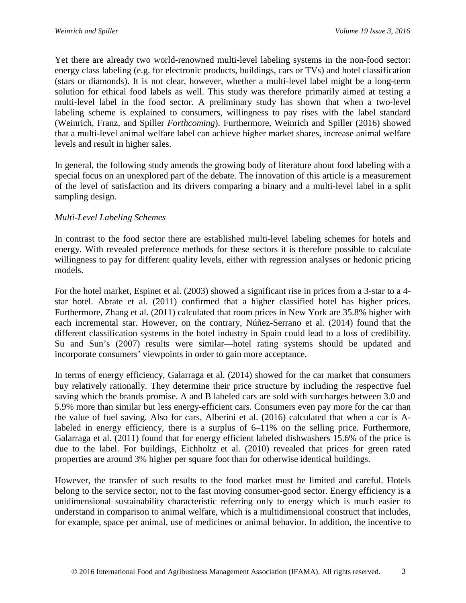Yet there are already two world-renowned multi-level labeling systems in the non-food sector: energy class labeling (e.g. for electronic products, buildings, cars or TVs) and hotel classification (stars or diamonds). It is not clear, however, whether a multi-level label might be a long-term solution for ethical food labels as well. This study was therefore primarily aimed at testing a multi-level label in the food sector. A preliminary study has shown that when a two-level labeling scheme is explained to consumers, willingness to pay rises with the label standard (Weinrich, Franz, and Spiller *Forthcoming*). Furthermore, Weinrich and Spiller (2016) showed that a multi-level animal welfare label can achieve higher market shares, increase animal welfare levels and result in higher sales.

In general, the following study amends the growing body of literature about food labeling with a special focus on an unexplored part of the debate. The innovation of this article is a measurement of the level of satisfaction and its drivers comparing a binary and a multi-level label in a split sampling design.

### *Multi-Level Labeling Schemes*

In contrast to the food sector there are established multi-level labeling schemes for hotels and energy. With revealed preference methods for these sectors it is therefore possible to calculate willingness to pay for different quality levels, either with regression analyses or hedonic pricing models.

For the hotel market, Espinet et al. (2003) showed a significant rise in prices from a 3-star to a 4 star hotel. Abrate et al. (2011) confirmed that a higher classified hotel has higher prices. Furthermore, Zhang et al. (2011) calculated that room prices in New York are 35.8% higher with each incremental star. However, on the contrary, Núñez-Serrano et al. (2014) found that the different classification systems in the hotel industry in Spain could lead to a loss of credibility. Su and Sun's (2007) results were similar—hotel rating systems should be updated and incorporate consumers' viewpoints in order to gain more acceptance.

In terms of energy efficiency, Galarraga et al. (2014) showed for the car market that consumers buy relatively rationally. They determine their price structure by including the respective fuel saving which the brands promise. A and B labeled cars are sold with surcharges between 3.0 and 5.9% more than similar but less energy-efficient cars. Consumers even pay more for the car than the value of fuel saving. Also for cars, Alberini et al. (2016) calculated that when a car is Alabeled in energy efficiency, there is a surplus of 6–11% on the selling price. Furthermore, Galarraga et al. (2011) found that for energy efficient labeled dishwashers 15.6% of the price is due to the label. For buildings, Eichholtz et al. (2010) revealed that prices for green rated properties are around 3% higher per square foot than for otherwise identical buildings.

However, the transfer of such results to the food market must be limited and careful. Hotels belong to the service sector, not to the fast moving consumer-good sector. Energy efficiency is a unidimensional sustainability characteristic referring only to energy which is much easier to understand in comparison to animal welfare, which is a multidimensional construct that includes, for example, space per animal, use of medicines or animal behavior. In addition, the incentive to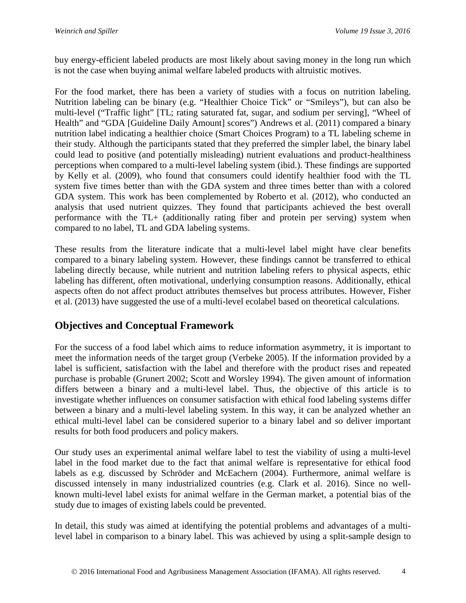buy energy-efficient labeled products are most likely about saving money in the long run which is not the case when buying animal welfare labeled products with altruistic motives.

For the food market, there has been a variety of studies with a focus on nutrition labeling. Nutrition labeling can be binary (e.g. "Healthier Choice Tick" or "Smileys"), but can also be multi-level ("Traffic light" [TL; rating saturated fat, sugar, and sodium per serving], "Wheel of Health" and "GDA [Guideline Daily Amount] scores") Andrews et al. (2011) compared a binary nutrition label indicating a healthier choice (Smart Choices Program) to a TL labeling scheme in their study. Although the participants stated that they preferred the simpler label, the binary label could lead to positive (and potentially misleading) nutrient evaluations and product-healthiness perceptions when compared to a multi-level labeling system (ibid.). These findings are supported by Kelly et al. (2009), who found that consumers could identify healthier food with the TL system five times better than with the GDA system and three times better than with a colored GDA system. This work has been complemented by Roberto et al. (2012), who conducted an analysis that used nutrient quizzes. They found that participants achieved the best overall performance with the TL+ (additionally rating fiber and protein per serving) system when compared to no label, TL and GDA labeling systems.

These results from the literature indicate that a multi-level label might have clear benefits compared to a binary labeling system. However, these findings cannot be transferred to ethical labeling directly because, while nutrient and nutrition labeling refers to physical aspects, ethic labeling has different, often motivational, underlying consumption reasons. Additionally, ethical aspects often do not affect product attributes themselves but process attributes. However, Fisher et al. (2013) have suggested the use of a multi-level ecolabel based on theoretical calculations.

# **Objectives and Conceptual Framework**

For the success of a food label which aims to reduce information asymmetry, it is important to meet the information needs of the target group (Verbeke 2005). If the information provided by a label is sufficient, satisfaction with the label and therefore with the product rises and repeated purchase is probable (Grunert 2002; Scott and Worsley 1994). The given amount of information differs between a binary and a multi-level label. Thus, the objective of this article is to investigate whether influences on consumer satisfaction with ethical food labeling systems differ between a binary and a multi-level labeling system. In this way, it can be analyzed whether an ethical multi-level label can be considered superior to a binary label and so deliver important results for both food producers and policy makers.

Our study uses an experimental animal welfare label to test the viability of using a multi-level label in the food market due to the fact that animal welfare is representative for ethical food labels as e.g. discussed by Schröder and McEachern (2004). Furthermore, animal welfare is discussed intensely in many industrialized countries (e.g. Clark et al. 2016). Since no wellknown multi-level label exists for animal welfare in the German market, a potential bias of the study due to images of existing labels could be prevented.

In detail, this study was aimed at identifying the potential problems and advantages of a multilevel label in comparison to a binary label. This was achieved by using a split-sample design to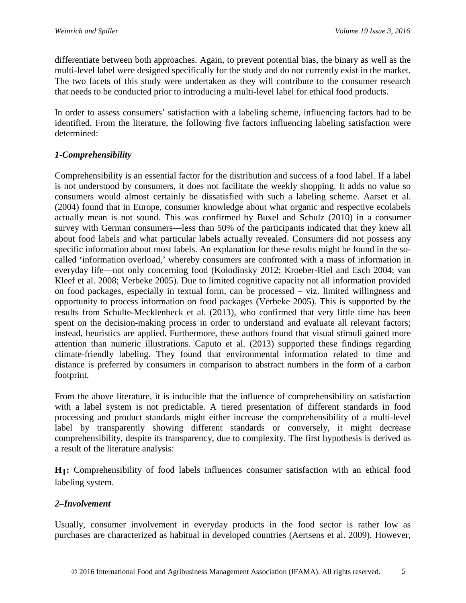differentiate between both approaches. Again, to prevent potential bias, the binary as well as the multi-level label were designed specifically for the study and do not currently exist in the market. The two facets of this study were undertaken as they will contribute to the consumer research that needs to be conducted prior to introducing a multi-level label for ethical food products.

In order to assess consumers' satisfaction with a labeling scheme, influencing factors had to be identified. From the literature, the following five factors influencing labeling satisfaction were determined:

## *1-Comprehensibility*

Comprehensibility is an essential factor for the distribution and success of a food label. If a label is not understood by consumers, it does not facilitate the weekly shopping. It adds no value so consumers would almost certainly be dissatisfied with such a labeling scheme. Aarset et al. (2004) found that in Europe, consumer knowledge about what organic and respective ecolabels actually mean is not sound. This was confirmed by Buxel and Schulz (2010) in a consumer survey with German consumers—less than 50% of the participants indicated that they knew all about food labels and what particular labels actually revealed. Consumers did not possess any specific information about most labels. An explanation for these results might be found in the socalled 'information overload,' whereby consumers are confronted with a mass of information in everyday life—not only concerning food (Kolodinsky 2012; Kroeber-Riel and Esch 2004; van Kleef et al. 2008; Verbeke 2005). Due to limited cognitive capacity not all information provided on food packages, especially in textual form, can be processed – viz. limited willingness and opportunity to process information on food packages (Verbeke 2005). This is supported by the results from Schulte-Mecklenbeck et al. (2013), who confirmed that very little time has been spent on the decision-making process in order to understand and evaluate all relevant factors; instead, heuristics are applied. Furthermore, these authors found that visual stimuli gained more attention than numeric illustrations. Caputo et al. (2013) supported these findings regarding climate-friendly labeling. They found that environmental information related to time and distance is preferred by consumers in comparison to abstract numbers in the form of a carbon footprint.

From the above literature, it is inducible that the influence of comprehensibility on satisfaction with a label system is not predictable. A tiered presentation of different standards in food processing and product standards might either increase the comprehensibility of a multi-level label by transparently showing different standards or conversely, it might decrease comprehensibility, despite its transparency, due to complexity. The first hypothesis is derived as a result of the literature analysis:

**H1:** Comprehensibility of food labels influences consumer satisfaction with an ethical food labeling system.

## *2–Involvement*

Usually, consumer involvement in everyday products in the food sector is rather low as purchases are characterized as habitual in developed countries (Aertsens et al. 2009). However,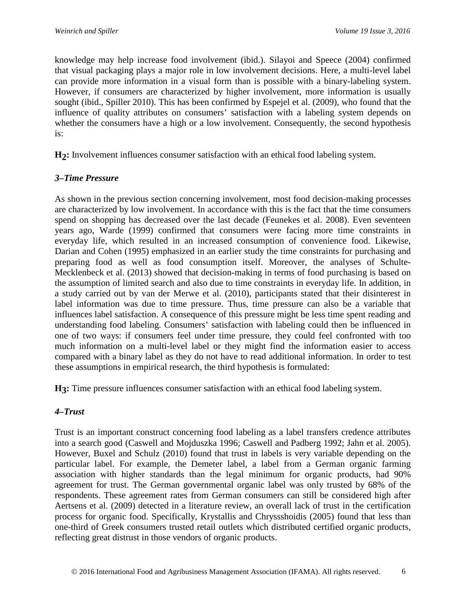knowledge may help increase food involvement (ibid.). Silayoi and Speece (2004) confirmed that visual packaging plays a major role in low involvement decisions. Here, a multi-level label can provide more information in a visual form than is possible with a binary-labeling system. However, if consumers are characterized by higher involvement, more information is usually sought (ibid., Spiller 2010). This has been confirmed by Espejel et al. (2009), who found that the influence of quality attributes on consumers' satisfaction with a labeling system depends on whether the consumers have a high or a low involvement. Consequently, the second hypothesis is:

**H2:** Involvement influences consumer satisfaction with an ethical food labeling system.

## *3–Time Pressure*

As shown in the previous section concerning involvement, most food decision-making processes are characterized by low involvement. In accordance with this is the fact that the time consumers spend on shopping has decreased over the last decade (Feunekes et al. 2008). Even seventeen years ago, Warde (1999) confirmed that consumers were facing more time constraints in everyday life, which resulted in an increased consumption of convenience food. Likewise, Darian and Cohen (1995) emphasized in an earlier study the time constraints for purchasing and preparing food as well as food consumption itself. Moreover, the analyses of Schulte-Mecklenbeck et al. (2013) showed that decision-making in terms of food purchasing is based on the assumption of limited search and also due to time constraints in everyday life. In addition, in a study carried out by van der Merwe et al. (2010), participants stated that their disinterest in label information was due to time pressure. Thus, time pressure can also be a variable that influences label satisfaction. A consequence of this pressure might be less time spent reading and understanding food labeling. Consumers' satisfaction with labeling could then be influenced in one of two ways: if consumers feel under time pressure, they could feel confronted with too much information on a multi-level label or they might find the information easier to access compared with a binary label as they do not have to read additional information. In order to test these assumptions in empirical research, the third hypothesis is formulated:

**H3:** Time pressure influences consumer satisfaction with an ethical food labeling system.

## *4–Trust*

Trust is an important construct concerning food labeling as a label transfers credence attributes into a search good (Caswell and Mojduszka 1996; Caswell and Padberg 1992; Jahn et al. 2005). However, Buxel and Schulz (2010) found that trust in labels is very variable depending on the particular label. For example, the Demeter label, a label from a German organic farming association with higher standards than the legal minimum for organic products, had 90% agreement for trust. The German governmental organic label was only trusted by 68% of the respondents. These agreement rates from German consumers can still be considered high after Aertsens et al. (2009) detected in a literature review, an overall lack of trust in the certification process for organic food. Specifically, Krystallis and Chryssshoidis (2005) found that less than one-third of Greek consumers trusted retail outlets which distributed certified organic products, reflecting great distrust in those vendors of organic products.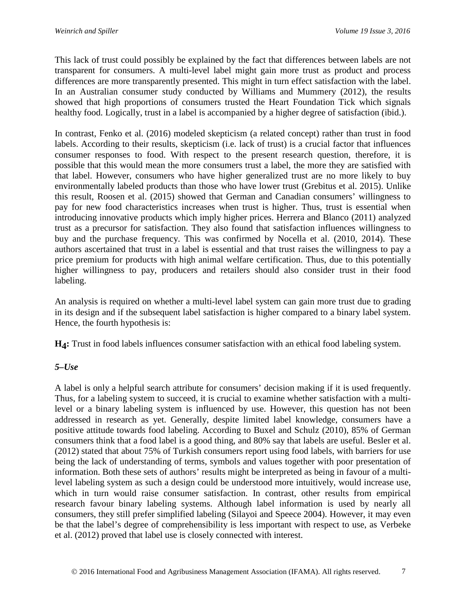This lack of trust could possibly be explained by the fact that differences between labels are not transparent for consumers. A multi-level label might gain more trust as product and process differences are more transparently presented. This might in turn effect satisfaction with the label. In an Australian consumer study conducted by Williams and Mummery (2012), the results showed that high proportions of consumers trusted the Heart Foundation Tick which signals healthy food. Logically, trust in a label is accompanied by a higher degree of satisfaction (ibid.).

In contrast, Fenko et al. (2016) modeled skepticism (a related concept) rather than trust in food labels. According to their results, skepticism (i.e. lack of trust) is a crucial factor that influences consumer responses to food. With respect to the present research question, therefore, it is possible that this would mean the more consumers trust a label, the more they are satisfied with that label. However, consumers who have higher generalized trust are no more likely to buy environmentally labeled products than those who have lower trust (Grebitus et al. 2015). Unlike this result, Roosen et al. (2015) showed that German and Canadian consumers' willingness to pay for new food characteristics increases when trust is higher. Thus, trust is essential when introducing innovative products which imply higher prices. Herrera and Blanco (2011) analyzed trust as a precursor for satisfaction. They also found that satisfaction influences willingness to buy and the purchase frequency. This was confirmed by Nocella et al. (2010, 2014). These authors ascertained that trust in a label is essential and that trust raises the willingness to pay a price premium for products with high animal welfare certification. Thus, due to this potentially higher willingness to pay, producers and retailers should also consider trust in their food labeling.

An analysis is required on whether a multi-level label system can gain more trust due to grading in its design and if the subsequent label satisfaction is higher compared to a binary label system. Hence, the fourth hypothesis is:

**H4:** Trust in food labels influences consumer satisfaction with an ethical food labeling system.

## *5–Use*

A label is only a helpful search attribute for consumers' decision making if it is used frequently. Thus, for a labeling system to succeed, it is crucial to examine whether satisfaction with a multilevel or a binary labeling system is influenced by use. However, this question has not been addressed in research as yet. Generally, despite limited label knowledge, consumers have a positive attitude towards food labeling. According to Buxel and Schulz (2010), 85% of German consumers think that a food label is a good thing, and 80% say that labels are useful. Besler et al. (2012) stated that about 75% of Turkish consumers report using food labels, with barriers for use being the lack of understanding of terms, symbols and values together with poor presentation of information. Both these sets of authors' results might be interpreted as being in favour of a multilevel labeling system as such a design could be understood more intuitively, would increase use, which in turn would raise consumer satisfaction. In contrast, other results from empirical research favour binary labeling systems. Although label information is used by nearly all consumers, they still prefer simplified labeling (Silayoi and Speece 2004). However, it may even be that the label's degree of comprehensibility is less important with respect to use, as Verbeke et al. (2012) proved that label use is closely connected with interest.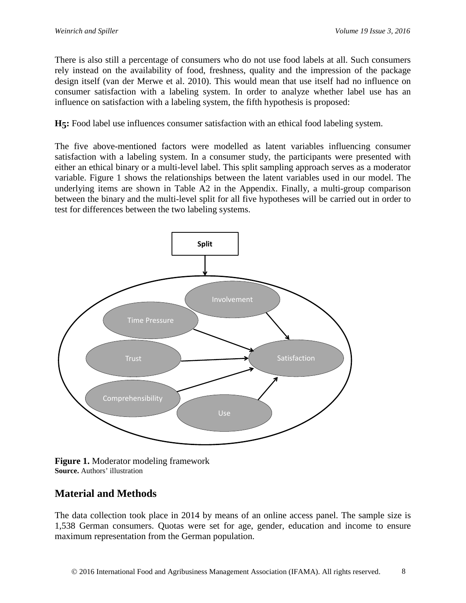There is also still a percentage of consumers who do not use food labels at all. Such consumers rely instead on the availability of food, freshness, quality and the impression of the package design itself (van der Merwe et al. 2010). This would mean that use itself had no influence on consumer satisfaction with a labeling system. In order to analyze whether label use has an influence on satisfaction with a labeling system, the fifth hypothesis is proposed:

**H5:** Food label use influences consumer satisfaction with an ethical food labeling system.

The five above-mentioned factors were modelled as latent variables influencing consumer satisfaction with a labeling system. In a consumer study, the participants were presented with either an ethical binary or a multi-level label. This split sampling approach serves as a moderator variable. Figure 1 shows the relationships between the latent variables used in our model. The underlying items are shown in Table A2 in the Appendix. Finally, a multi-group comparison between the binary and the multi-level split for all five hypotheses will be carried out in order to test for differences between the two labeling systems.



**Figure 1.** Moderator modeling framework **Source.** Authors' illustration

# **Material and Methods**

The data collection took place in 2014 by means of an online access panel. The sample size is 1,538 German consumers. Quotas were set for age, gender, education and income to ensure maximum representation from the German population.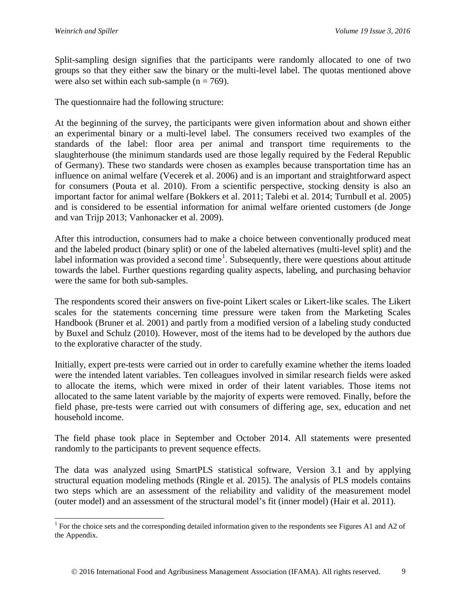Split-sampling design signifies that the participants were randomly allocated to one of two groups so that they either saw the binary or the multi-level label. The quotas mentioned above were also set within each sub-sample  $(n = 769)$ .

The questionnaire had the following structure:

At the beginning of the survey, the participants were given information about and shown either an experimental binary or a multi-level label. The consumers received two examples of the standards of the label: floor area per animal and transport time requirements to the slaughterhouse (the minimum standards used are those legally required by the Federal Republic of Germany). These two standards were chosen as examples because transportation time has an influence on animal welfare (Vecerek et al. 2006) and is an important and straightforward aspect for consumers (Pouta et al. 2010). From a scientific perspective, stocking density is also an important factor for animal welfare (Bokkers et al. 2011; Talebi et al. 2014; Turnbull et al. 2005) and is considered to be essential information for animal welfare oriented customers (de Jonge and van Trijp 2013; Vanhonacker et al. 2009).

After this introduction, consumers had to make a choice between conventionally produced meat and the labeled product (binary split) or one of the labeled alternatives (multi-level split) and the label information was provided a second time<sup>[1](#page-8-0)</sup>. Subsequently, there were questions about attitude towards the label. Further questions regarding quality aspects, labeling, and purchasing behavior were the same for both sub-samples.

The respondents scored their answers on five-point Likert scales or Likert-like scales. The Likert scales for the statements concerning time pressure were taken from the Marketing Scales Handbook (Bruner et al. 2001) and partly from a modified version of a labeling study conducted by Buxel and Schulz (2010). However, most of the items had to be developed by the authors due to the explorative character of the study.

Initially, expert pre-tests were carried out in order to carefully examine whether the items loaded were the intended latent variables. Ten colleagues involved in similar research fields were asked to allocate the items, which were mixed in order of their latent variables. Those items not allocated to the same latent variable by the majority of experts were removed. Finally, before the field phase, pre-tests were carried out with consumers of differing age, sex, education and net household income.

The field phase took place in September and October 2014. All statements were presented randomly to the participants to prevent sequence effects.

The data was analyzed using SmartPLS statistical software, Version 3.1 and by applying structural equation modeling methods (Ringle et al. 2015). The analysis of PLS models contains two steps which are an assessment of the reliability and validity of the measurement model (outer model) and an assessment of the structural model's fit (inner model) (Hair et al. 2011).

<span id="page-8-0"></span><sup>&</sup>lt;sup>1</sup> For the choice sets and the corresponding detailed information given to the respondents see Figures A1 and A2 of the Appendix.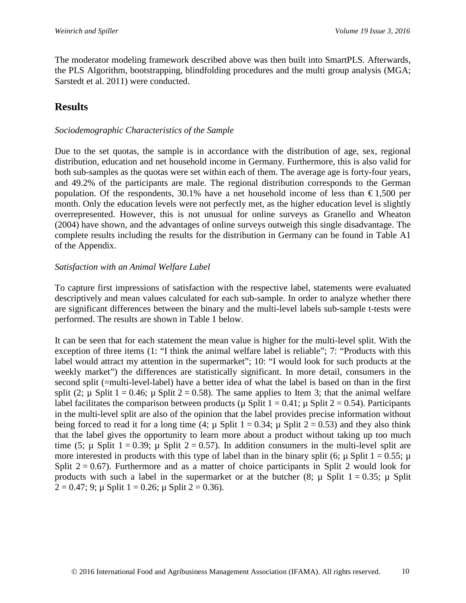The moderator modeling framework described above was then built into SmartPLS. Afterwards, the PLS Algorithm, bootstrapping, blindfolding procedures and the multi group analysis (MGA; Sarstedt et al. 2011) were conducted.

# **Results**

### *Sociodemographic Characteristics of the Sample*

Due to the set quotas, the sample is in accordance with the distribution of age, sex, regional distribution, education and net household income in Germany. Furthermore, this is also valid for both sub-samples as the quotas were set within each of them. The average age is forty-four years, and 49.2% of the participants are male. The regional distribution corresponds to the German population. Of the respondents, 30.1% have a net household income of less than  $\epsilon$ 1,500 per month. Only the education levels were not perfectly met, as the higher education level is slightly overrepresented. However, this is not unusual for online surveys as Granello and Wheaton (2004) have shown, and the advantages of online surveys outweigh this single disadvantage. The complete results including the results for the distribution in Germany can be found in Table A1 of the Appendix.

### *Satisfaction with an Animal Welfare Label*

To capture first impressions of satisfaction with the respective label, statements were evaluated descriptively and mean values calculated for each sub-sample. In order to analyze whether there are significant differences between the binary and the multi-level labels sub-sample t-tests were performed. The results are shown in Table 1 below.

It can be seen that for each statement the mean value is higher for the multi-level split. With the exception of three items (1: "I think the animal welfare label is reliable"; 7: "Products with this label would attract my attention in the supermarket"; 10: "I would look for such products at the weekly market") the differences are statistically significant. In more detail, consumers in the second split (=multi-level-label) have a better idea of what the label is based on than in the first split (2;  $\mu$  Split 1 = 0.46;  $\mu$  Split 2 = 0.58). The same applies to Item 3; that the animal welfare label facilitates the comparison between products ( $\mu$  Split 1 = 0.41;  $\mu$  Split 2 = 0.54). Participants in the multi-level split are also of the opinion that the label provides precise information without being forced to read it for a long time (4;  $\mu$  Split 1 = 0.34;  $\mu$  Split 2 = 0.53) and they also think that the label gives the opportunity to learn more about a product without taking up too much time (5;  $\mu$  Split 1 = 0.39;  $\mu$  Split 2 = 0.57). In addition consumers in the multi-level split are more interested in products with this type of label than in the binary split (6;  $\mu$  Split 1 = 0.55;  $\mu$ ) Split  $2 = 0.67$ ). Furthermore and as a matter of choice participants in Split 2 would look for products with such a label in the supermarket or at the butcher  $(8; \mu \text{ Split } 1 = 0.35; \mu \text{ Split } 1$  $2 = 0.47$ ; 9;  $\mu$  Split 1 = 0.26;  $\mu$  Split 2 = 0.36).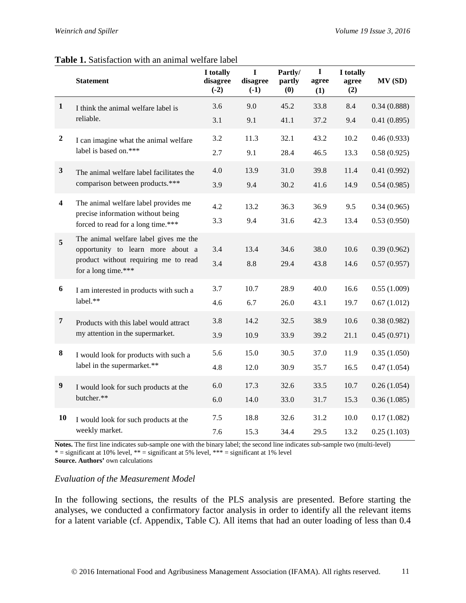#### **Table 1.** Satisfaction with an animal welfare label

|                         | <b>Statement</b>                                                           | I totally<br>disagree<br>$(-2)$ | L<br>disagree<br>$(-1)$ | Partly/<br>partly<br>(0) | $\mathbf I$<br>agree<br>(1) | I totally<br>agree<br>(2) | MV (SD)     |
|-------------------------|----------------------------------------------------------------------------|---------------------------------|-------------------------|--------------------------|-----------------------------|---------------------------|-------------|
| $\mathbf{1}$            | I think the animal welfare label is                                        | 3.6                             | 9.0                     | 45.2                     | 33.8                        | 8.4                       | 0.34(0.888) |
|                         | reliable.                                                                  | 3.1                             | 9.1                     | 41.1                     | 37.2                        | 9.4                       | 0.41(0.895) |
| $\boldsymbol{2}$        | I can imagine what the animal welfare                                      | 3.2                             | 11.3                    | 32.1                     | 43.2                        | 10.2                      | 0.46(0.933) |
|                         | label is based on.***                                                      | 2.7                             | 9.1                     | 28.4                     | 46.5                        | 13.3                      | 0.58(0.925) |
| $\mathbf{3}$            | The animal welfare label facilitates the                                   | 4.0                             | 13.9                    | 31.0                     | 39.8                        | 11.4                      | 0.41(0.992) |
|                         | comparison between products.***                                            | 3.9                             | 9.4                     | 30.2                     | 41.6                        | 14.9                      | 0.54(0.985) |
| $\overline{\mathbf{4}}$ | The animal welfare label provides me                                       | 4.2                             | 13.2                    | 36.3                     | 36.9                        | 9.5                       | 0.34(0.965) |
|                         | precise information without being<br>forced to read for a long time.***    | 3.3                             | 9.4                     | 31.6                     | 42.3                        | 13.4                      | 0.53(0.950) |
| 5                       | The animal welfare label gives me the<br>opportunity to learn more about a | 3.4                             | 13.4                    | 34.6                     | 38.0                        | 10.6                      | 0.39(0.962) |
|                         | product without requiring me to read<br>for a long time.***                | 3.4                             | 8.8                     | 29.4                     | 43.8                        | 14.6                      | 0.57(0.957) |
| $\boldsymbol{6}$        | I am interested in products with such a                                    | 3.7                             | 10.7                    | 28.9                     | 40.0                        | 16.6                      | 0.55(1.009) |
|                         | label.**                                                                   | 4.6                             | 6.7                     | 26.0                     | 43.1                        | 19.7                      | 0.67(1.012) |
| $\overline{7}$          | Products with this label would attract                                     | 3.8                             | 14.2                    | 32.5                     | 38.9                        | 10.6                      | 0.38(0.982) |
|                         | my attention in the supermarket.                                           | 3.9                             | 10.9                    | 33.9                     | 39.2                        | 21.1                      | 0.45(0.971) |
| ${\bf 8}$               | I would look for products with such a                                      | 5.6                             | 15.0                    | 30.5                     | 37.0                        | 11.9                      | 0.35(1.050) |
|                         | label in the supermarket.**                                                | 4.8                             | 12.0                    | 30.9                     | 35.7                        | 16.5                      | 0.47(1.054) |
| 9                       | I would look for such products at the                                      | 6.0                             | 17.3                    | 32.6                     | 33.5                        | 10.7                      | 0.26(1.054) |
|                         | butcher.**                                                                 | 6.0                             | 14.0                    | 33.0                     | 31.7                        | 15.3                      | 0.36(1.085) |
| 10                      | I would look for such products at the                                      | 7.5                             | 18.8                    | 32.6                     | 31.2                        | 10.0                      | 0.17(1.082) |
|                         | weekly market.                                                             | 7.6                             | 15.3                    | 34.4                     | 29.5                        | 13.2                      | 0.25(1.103) |

**Notes.** The first line indicates sub-sample one with the binary label; the second line indicates sub-sample two (multi-level) \* = significant at 10% level, \*\* = significant at 5% level, \*\*\* = significant at 1% level **Source. Authors'** own calculations

### *Evaluation of the Measurement Model*

In the following sections, the results of the PLS analysis are presented. Before starting the analyses, we conducted a confirmatory factor analysis in order to identify all the relevant items for a latent variable (cf. Appendix, Table C). All items that had an outer loading of less than 0.4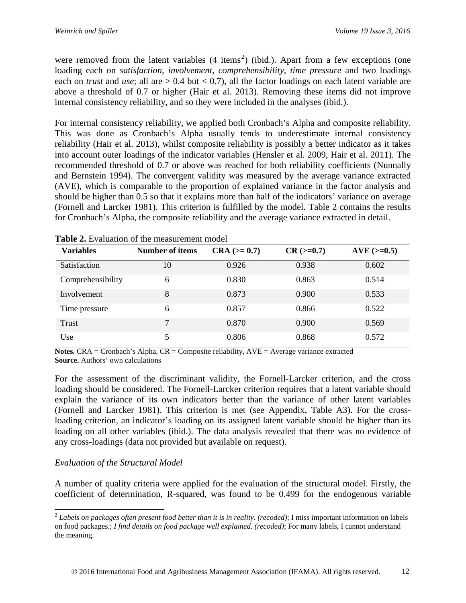were removed from the latent variables  $(4 \text{ items}^2)$  $(4 \text{ items}^2)$  $(4 \text{ items}^2)$  (ibid.). Apart from a few exceptions (one loading each on *satisfaction*, *involvement*, *comprehensibility*, *time pressure* and two loadings each on *trust* and *use*; all are  $> 0.4$  but  $< 0.7$ ), all the factor loadings on each latent variable are above a threshold of 0.7 or higher (Hair et al. 2013). Removing these items did not improve internal consistency reliability, and so they were included in the analyses (ibid.).

For internal consistency reliability, we applied both Cronbach's Alpha and composite reliability. This was done as Cronbach's Alpha usually tends to underestimate internal consistency reliability (Hair et al. 2013), whilst composite reliability is possibly a better indicator as it takes into account outer loadings of the indicator variables (Hensler et al. 2009, Hair et al. 2011). The recommended threshold of 0.7 or above was reached for both reliability coefficients (Nunnally and Bernstein 1994). The convergent validity was measured by the average variance extracted (AVE), which is comparable to the proportion of explained variance in the factor analysis and should be higher than 0.5 so that it explains more than half of the indicators' variance on average (Fornell and Larcker 1981). This criterion is fulfilled by the model. Table 2 contains the results for Cronbach's Alpha, the composite reliability and the average variance extracted in detail.

| <b>Variables</b>  | <b>Number of items</b> | $CRA (= 0.7)$ | $CR$ ( $>=0.7$ ) | $AVE$ ( $>=0.5$ ) |
|-------------------|------------------------|---------------|------------------|-------------------|
| Satisfaction      | 10                     | 0.926         | 0.938            | 0.602             |
| Comprehensibility | 6                      | 0.830         | 0.863            | 0.514             |
| Involvement       | 8                      | 0.873         | 0.900            | 0.533             |
| Time pressure     | 6                      | 0.857         | 0.866            | 0.522             |
| Trust             | 7                      | 0.870         | 0.900            | 0.569             |
| Use               | 5                      | 0.806         | 0.868            | 0.572             |

**Table 2.** Evaluation of the measurement model

**Notes.** CRA = Cronbach's Alpha, CR = Composite reliability, AVE = Average variance extracted **Source.** Authors' own calculations

For the assessment of the discriminant validity, the Fornell-Larcker criterion, and the cross loading should be considered. The Fornell-Larcker criterion requires that a latent variable should explain the variance of its own indicators better than the variance of other latent variables (Fornell and Larcker 1981). This criterion is met (see Appendix, Table A3). For the crossloading criterion, an indicator's loading on its assigned latent variable should be higher than its loading on all other variables (ibid.). The data analysis revealed that there was no evidence of any cross-loadings (data not provided but available on request).

## *Evaluation of the Structural Model*

A number of quality criteria were applied for the evaluation of the structural model. Firstly, the coefficient of determination, R-squared, was found to be 0.499 for the endogenous variable

<span id="page-11-0"></span> <sup>2</sup> *Labels on packages often present food better than it is in reality. (recoded)*; I miss important information on labels on food packages.; *I find details on food package well explained. (recoded)*; For many labels, I cannot understand the meaning.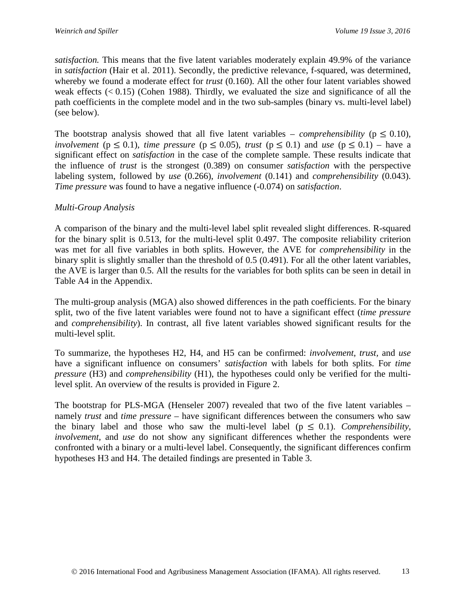*satisfaction.* This means that the five latent variables moderately explain 49.9% of the variance in *satisfaction* (Hair et al. 2011). Secondly, the predictive relevance, f-squared, was determined, whereby we found a moderate effect for *trust* (0.160). All the other four latent variables showed weak effects  $( $0.15$ ) (Cohen 1988)$ . Thirdly, we evaluated the size and significance of all the path coefficients in the complete model and in the two sub-samples (binary vs. multi-level label) (see below).

The bootstrap analysis showed that all five latent variables – *comprehensibility* ( $p \le 0.10$ )*, involvement* ( $p \le 0.1$ *), time pressure* ( $p \le 0.05$ *), trust* ( $p \le 0.1$ ) and *use* ( $p \le 0.1$ ) – have a significant effect on *satisfaction* in the case of the complete sample. These results indicate that the influence of *trust* is the strongest (0.389) on consumer *satisfaction* with the perspective labeling system, followed by *use* (0.266), *involvement* (0.141) and *comprehensibility* (0.043). *Time pressure* was found to have a negative influence (-0.074) on *satisfaction*.

## *Multi-Group Analysis*

A comparison of the binary and the multi-level label split revealed slight differences. R-squared for the binary split is 0.513, for the multi-level split 0.497. The composite reliability criterion was met for all five variables in both splits. However, the AVE for *comprehensibility* in the binary split is slightly smaller than the threshold of 0.5 (0.491). For all the other latent variables, the AVE is larger than 0.5. All the results for the variables for both splits can be seen in detail in Table A4 in the Appendix.

The multi-group analysis (MGA) also showed differences in the path coefficients. For the binary split, two of the five latent variables were found not to have a significant effect (*time pressure* and *comprehensibility*). In contrast, all five latent variables showed significant results for the multi-level split.

To summarize, the hypotheses H2, H4, and H5 can be confirmed: *involvement*, *trust,* and *use* have a significant influence on consumers' *satisfaction* with labels for both splits. For *time pressure* (H3) and *comprehensibility* (H1), the hypotheses could only be verified for the multilevel split. An overview of the results is provided in Figure 2.

The bootstrap for PLS-MGA (Henseler 2007) revealed that two of the five latent variables – namely *trust* and *time pressure* – have significant differences between the consumers who saw the binary label and those who saw the multi-level label ( $p \leq 0.1$ ). *Comprehensibility*, *involvement,* and *use* do not show any significant differences whether the respondents were confronted with a binary or a multi-level label. Consequently, the significant differences confirm hypotheses H3 and H4. The detailed findings are presented in Table 3.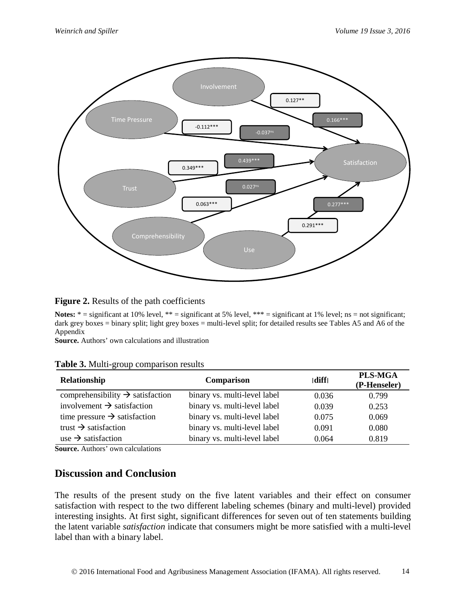

**Figure 2.** Results of the path coefficients

Notes: \* = significant at 10% level, \*\* = significant at 5% level, \*\*\* = significant at 1% level; ns = not significant; dark grey boxes = binary split; light grey boxes = multi-level split; for detailed results see Tables A5 and A6 of the Appendix

**Source.** Authors' own calculations and illustration

| Table 3. Multi-group comparison results |  |
|-----------------------------------------|--|
|-----------------------------------------|--|

| Relationship                                 | <b>Comparison</b>            | diff  | <b>PLS-MGA</b><br>(P-Henseler) |
|----------------------------------------------|------------------------------|-------|--------------------------------|
| comprehensibility $\rightarrow$ satisfaction | binary vs. multi-level label | 0.036 | 0.799                          |
| involvement $\rightarrow$ satisfaction       | binary vs. multi-level label | 0.039 | 0.253                          |
| time pressure $\rightarrow$ satisfaction     | binary vs. multi-level label | 0.075 | 0.069                          |
| trust $\rightarrow$ satisfaction             | binary vs. multi-level label | 0.091 | 0.080                          |
| use $\rightarrow$ satisfaction               | binary vs. multi-level label | 0.064 | 0.819                          |

**Source.** Authors' own calculations

## **Discussion and Conclusion**

The results of the present study on the five latent variables and their effect on consumer satisfaction with respect to the two different labeling schemes (binary and multi-level) provided interesting insights. At first sight, significant differences for seven out of ten statements building the latent variable *satisfaction* indicate that consumers might be more satisfied with a multi-level label than with a binary label.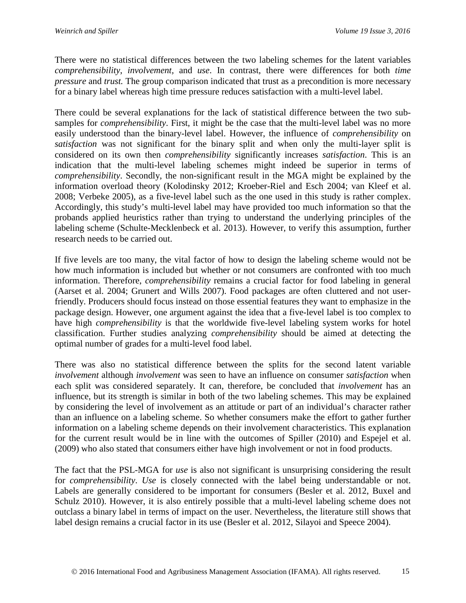There were no statistical differences between the two labeling schemes for the latent variables *comprehensibility*, *involvement,* and *use*. In contrast, there were differences for both *time pressure* and *trust.* The group comparison indicated that trust as a precondition is more necessary for a binary label whereas high time pressure reduces satisfaction with a multi-level label.

There could be several explanations for the lack of statistical difference between the two subsamples for *comprehensibility*. First, it might be the case that the multi-level label was no more easily understood than the binary-level label. However, the influence of *comprehensibility* on *satisfaction* was not significant for the binary split and when only the multi-layer split is considered on its own then *comprehensibility* significantly increases *satisfaction*. This is an indication that the multi-level labeling schemes might indeed be superior in terms of *comprehensibility*. Secondly, the non-significant result in the MGA might be explained by the information overload theory (Kolodinsky 2012; Kroeber-Riel and Esch 2004; van Kleef et al. 2008; Verbeke 2005), as a five-level label such as the one used in this study is rather complex. Accordingly, this study's multi-level label may have provided too much information so that the probands applied heuristics rather than trying to understand the underlying principles of the labeling scheme (Schulte-Mecklenbeck et al. 2013). However, to verify this assumption, further research needs to be carried out.

If five levels are too many, the vital factor of how to design the labeling scheme would not be how much information is included but whether or not consumers are confronted with too much information. Therefore, *comprehensibility* remains a crucial factor for food labeling in general (Aarset et al. 2004; Grunert and Wills 2007). Food packages are often cluttered and not userfriendly. Producers should focus instead on those essential features they want to emphasize in the package design. However, one argument against the idea that a five-level label is too complex to have high *comprehensibility* is that the worldwide five-level labeling system works for hotel classification. Further studies analyzing *comprehensibility* should be aimed at detecting the optimal number of grades for a multi-level food label.

There was also no statistical difference between the splits for the second latent variable *involvement* although *involvement* was seen to have an influence on consumer *satisfaction* when each split was considered separately. It can, therefore, be concluded that *involvement* has an influence, but its strength is similar in both of the two labeling schemes. This may be explained by considering the level of involvement as an attitude or part of an individual's character rather than an influence on a labeling scheme. So whether consumers make the effort to gather further information on a labeling scheme depends on their involvement characteristics. This explanation for the current result would be in line with the outcomes of Spiller (2010) and Espejel et al. (2009) who also stated that consumers either have high involvement or not in food products.

The fact that the PSL-MGA for *use* is also not significant is unsurprising considering the result for *comprehensibility*. *Use* is closely connected with the label being understandable or not. Labels are generally considered to be important for consumers (Besler et al. 2012, Buxel and Schulz 2010). However, it is also entirely possible that a multi-level labeling scheme does not outclass a binary label in terms of impact on the user. Nevertheless, the literature still shows that label design remains a crucial factor in its use (Besler et al. 2012, Silayoi and Speece 2004).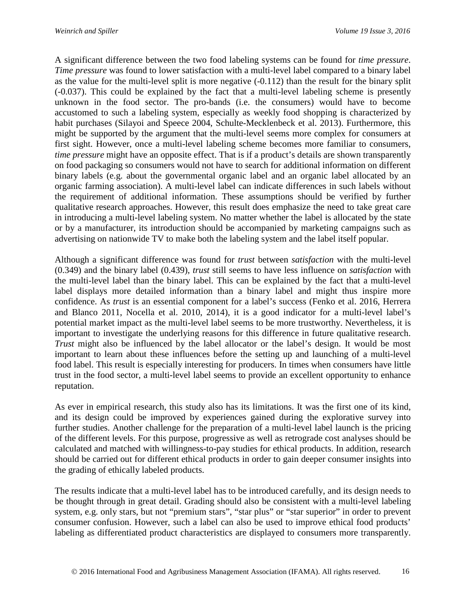A significant difference between the two food labeling systems can be found for *time pressure*. *Time pressure* was found to lower satisfaction with a multi-level label compared to a binary label as the value for the multi-level split is more negative (-0.112) than the result for the binary split (-0.037). This could be explained by the fact that a multi-level labeling scheme is presently unknown in the food sector. The pro-bands (i.e. the consumers) would have to become accustomed to such a labeling system, especially as weekly food shopping is characterized by habit purchases (Silayoi and Speece 2004, Schulte-Mecklenbeck et al. 2013). Furthermore, this might be supported by the argument that the multi-level seems more complex for consumers at first sight. However, once a multi-level labeling scheme becomes more familiar to consumers, *time pressure* might have an opposite effect. That is if a product's details are shown transparently on food packaging so consumers would not have to search for additional information on different binary labels (e.g. about the governmental organic label and an organic label allocated by an organic farming association). A multi-level label can indicate differences in such labels without the requirement of additional information. These assumptions should be verified by further qualitative research approaches. However, this result does emphasize the need to take great care in introducing a multi-level labeling system. No matter whether the label is allocated by the state or by a manufacturer, its introduction should be accompanied by marketing campaigns such as advertising on nationwide TV to make both the labeling system and the label itself popular.

Although a significant difference was found for *trust* between *satisfaction* with the multi-level (0.349) and the binary label (0.439), *trust* still seems to have less influence on *satisfaction* with the multi-level label than the binary label. This can be explained by the fact that a multi-level label displays more detailed information than a binary label and might thus inspire more confidence. As *trust* is an essential component for a label's success (Fenko et al. 2016, Herrera and Blanco 2011, Nocella et al. 2010, 2014), it is a good indicator for a multi-level label's potential market impact as the multi-level label seems to be more trustworthy. Nevertheless, it is important to investigate the underlying reasons for this difference in future qualitative research. *Trust* might also be influenced by the label allocator or the label's design. It would be most important to learn about these influences before the setting up and launching of a multi-level food label. This result is especially interesting for producers. In times when consumers have little trust in the food sector, a multi-level label seems to provide an excellent opportunity to enhance reputation.

As ever in empirical research, this study also has its limitations. It was the first one of its kind, and its design could be improved by experiences gained during the explorative survey into further studies. Another challenge for the preparation of a multi-level label launch is the pricing of the different levels. For this purpose, progressive as well as retrograde cost analyses should be calculated and matched with willingness-to-pay studies for ethical products. In addition, research should be carried out for different ethical products in order to gain deeper consumer insights into the grading of ethically labeled products.

The results indicate that a multi-level label has to be introduced carefully, and its design needs to be thought through in great detail. Grading should also be consistent with a multi-level labeling system, e.g. only stars, but not "premium stars", "star plus" or "star superior" in order to prevent consumer confusion. However, such a label can also be used to improve ethical food products' labeling as differentiated product characteristics are displayed to consumers more transparently.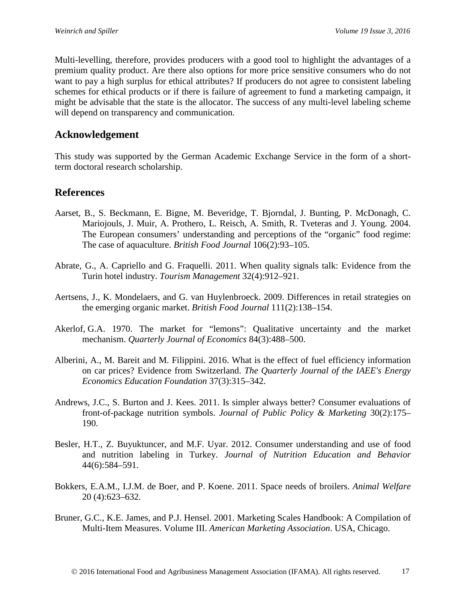Multi-levelling, therefore, provides producers with a good tool to highlight the advantages of a premium quality product. Are there also options for more price sensitive consumers who do not want to pay a high surplus for ethical attributes? If producers do not agree to consistent labeling schemes for ethical products or if there is failure of agreement to fund a marketing campaign, it might be advisable that the state is the allocator. The success of any multi-level labeling scheme will depend on transparency and communication.

## **Acknowledgement**

This study was supported by the German Academic Exchange Service in the form of a shortterm doctoral research scholarship.

## **References**

- Aarset, B., S. Beckmann, E. Bigne, M. Beveridge, T. Bjorndal, J. Bunting, P. McDonagh, C. Mariojouls, J. Muir, A. Prothero, L. Reisch, A. Smith, R. Tveteras and J. Young. 2004. The European consumers' understanding and perceptions of the "organic" food regime: The case of aquaculture. *British Food Journal* 106(2):93–105.
- Abrate, G., A. Capriello and G. Fraquelli. 2011. When quality signals talk: Evidence from the Turin hotel industry. *Tourism Management* 32(4):912–921.
- Aertsens, J., K. Mondelaers, and G. van Huylenbroeck. 2009. Differences in retail strategies on the emerging organic market. *British Food Journal* 111(2):138–154.
- Akerlof, G.A. 1970. The market for "lemons": Qualitative uncertainty and the market mechanism. *Quarterly Journal of Economics* 84(3):488–500.
- [Alberini,](http://www.iaee.org/en/publications/ejsearch.aspx?author=Anna+Alberini) A., M. [Bareit](http://www.iaee.org/en/publications/ejsearch.aspx?author=Markus+Bareit) and [M. Filippini.](http://www.iaee.org/en/publications/ejsearch.aspx?author=Massimo+Filippini) 2016. What is the effect of fuel efficiency information on car prices? Evidence from Switzerland. *The Quarterly Journal of the IAEE's Energy Economics Education Foundation* 37(3):315–342.
- Andrews, J.C., S. Burton and J. Kees. 2011. Is simpler always better? Consumer evaluations of front-of-package nutrition symbols. *Journal of Public Policy & Marketing* 30(2):175– 190.
- Besler, H.T., Z. Buyuktuncer, and M.F. Uyar. 2012. Consumer understanding and use of food and nutrition labeling in Turkey. *Journal of Nutrition Education and Behavior* 44(6):584–591.
- Bokkers, E.A.M., I.J.M. de Boer, and P. Koene. 2011. Space needs of broilers. *Animal Welfare* 20 (4):623–632.
- Bruner, G.C., K.E. James, and P.J. Hensel. 2001. Marketing Scales Handbook: A Compilation of Multi-Item Measures. Volume III. *American Marketing Association*. USA, Chicago.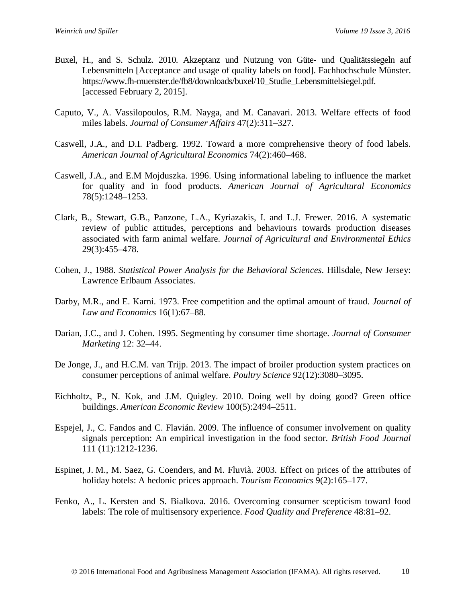- Buxel, H., and S. Schulz. 2010. Akzeptanz und Nutzung von Güte- und Qualitätssiegeln auf Lebensmitteln [Acceptance and usage of quality labels on food]. Fachhochschule Münster. https://www.fh-muenster.de/fb8/downloads/buxel/10\_Studie\_Lebensmittelsiegel.pdf. [accessed February 2, 2015].
- Caputo, V., A. Vassilopoulos, R.M. Nayga, and M. Canavari. 2013. Welfare effects of food miles labels. *Journal of Consumer Affairs* 47(2):311–327.
- Caswell, J.A., and D.I. Padberg. 1992. Toward a more comprehensive theory of food labels. *[American Journal of Agricultural Economics](http://econpapers.repec.org/article/oupajagec/)* 74(2):460–468.
- Caswell, J.A., and E.M Mojduszka. 1996. Using informational labeling to influence the market for quality and in food products. *[American Journal of Agricultural Economics](http://econpapers.repec.org/article/oupajagec/)* 78(5):1248–1253.
- Clark, B., Stewart, G.B., Panzone, L.A., Kyriazakis, I. and L.J. Frewer. 2016. A systematic review of public attitudes, perceptions and behaviours towards production diseases associated with farm animal welfare. *Journal of Agricultural and Environmental Ethics* 29(3):455–478.
- Cohen, J., 1988. *Statistical Power Analysis for the Behavioral Sciences*. Hillsdale, New Jersey: Lawrence Erlbaum Associates.
- Darby, M.R., and E. Karni. 1973. Free competition and the optimal amount of fraud. *Journal of Law and Economics* 16(1):67–88.
- Darian, J.C., and J. Cohen. 1995. Segmenting by consumer time shortage. *Journal of Consumer Marketing* 12: 32–44.
- De Jonge, J., and H.C.M. van Trijp. 2013. The impact of broiler production system practices on consumer perceptions of animal welfare. *Poultry Science* 92(12):3080–3095.
- Eichholtz, P., N. Kok, and J.M. Quigley. 2010. Doing well by doing good? Green office buildings. *American Economic Review* 100(5):2494–2511.
- Espejel, J., C. Fandos and C. Flavián. 2009. The influence of consumer involvement on quality signals perception: An empirical investigation in the food sector. *British Food Journal* 111 (11):1212-1236.
- Espinet, J. M., M. Saez, G. Coenders, and M. Fluvià. 2003. Effect on prices of the attributes of holiday hotels: A hedonic prices approach. *Tourism Economics* 9(2):165–177.
- Fenko, A., L. Kersten and S. Bialkova. 2016. Overcoming consumer scepticism toward food labels: The role of multisensory experience. *Food Quality and Preference* 48:81–92.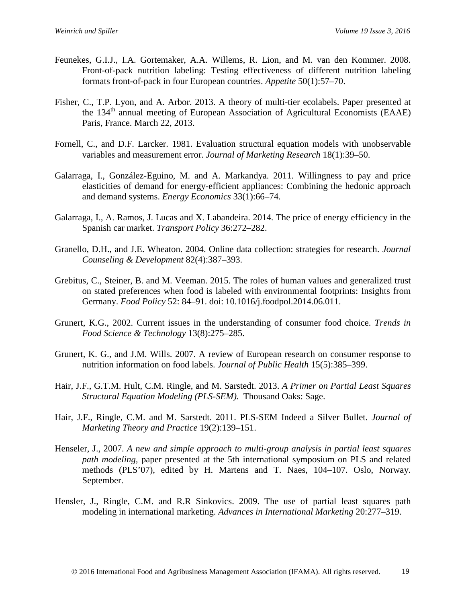- Feunekes, G.I.J., I.A. Gortemaker, A.A. Willems, R. Lion, and M. van den Kommer. 2008. Front-of-pack nutrition labeling: Testing effectiveness of different nutrition labeling formats front-of-pack in four European countries. *Appetite* 50(1):57–70.
- Fisher, C., T.P. Lyon, and A. Arbor. 2013. A theory of multi-tier ecolabels. Paper presented at the  $134<sup>th</sup>$  annual meeting of European Association of Agricultural Economists (EAAE) Paris, France. March 22, 2013.
- Fornell, C., and D.F. Larcker. 1981. Evaluation structural equation models with unobservable variables and measurement error. *Journal of Marketing Research* 18(1):39–50.
- Galarraga, I., González-Eguino, M. and A. Markandya. 2011. Willingness to pay and price elasticities of demand for energy-efficient appliances: Combining the hedonic approach and demand systems. *Energy Economics* 33(1):66–74.
- Galarraga, I., A. Ramos, J. Lucas and X. Labandeira. 2014. The price of energy efficiency in the Spanish car market. *Transport Policy* 36:272–282.
- Granello, D.H., and J.E. Wheaton. 2004. Online data collection: strategies for research. *Journal Counseling & Development* 82(4):387–393.
- Grebitus, C., Steiner, B. and M. Veeman. 2015. The roles of human values and generalized trust on stated preferences when food is labeled with environmental footprints: Insights from Germany. *Food Policy* 52: 84–91. doi: 10.1016/j.foodpol.2014.06.011.
- Grunert, K.G., 2002. Current issues in the understanding of consumer food choice. *Trends in Food Science & Technology* 13(8):275–285.
- Grunert, K. G., and J.M. Wills. 2007. A review of European research on consumer response to nutrition information on food labels. *Journal of Public Health* 15(5):385–399.
- Hair, J.F., G.T.M. Hult, C.M. Ringle, and M. Sarstedt. 2013. *A Primer on Partial Least Squares Structural Equation Modeling (PLS-SEM).* Thousand Oaks: Sage.
- Hair, J.F., Ringle, C.M. and M. Sarstedt. 2011. PLS-SEM Indeed a Silver Bullet. *Journal of Marketing Theory and Practice* 19(2):139–151.
- Henseler, J., 2007. *A new and simple approach to multi-group analysis in partial least squares path modeling,* paper presented at the 5th international symposium on PLS and related methods (PLS'07), edited by H. Martens and T. Naes, 104–107. Oslo, Norway. September.
- Hensler, J., Ringle, C.M. and R.R Sinkovics. 2009. The use of partial least squares path modeling in international marketing. *Advances in International Marketing* 20:277–319.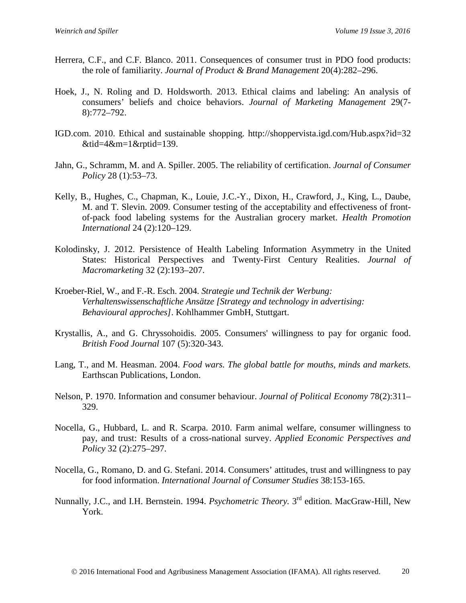- Herrera, C.F., and C.F. Blanco. 2011. Consequences of consumer trust in PDO food products: the role of familiarity. *Journal of Product & Brand Management* 20(4):282–296.
- Hoek, J., N. Roling and D. Holdsworth. 2013. Ethical claims and labeling: An analysis of consumers' beliefs and choice behaviors. *Journal of Marketing Management* 29(7- 8):772–792.
- IGD.com. 2010. Ethical and sustainable shopping. http://shoppervista.igd.com/Hub.aspx?id=32 &tid=4&m=1&rptid=139.
- Jahn, G., Schramm, M. and A. Spiller. 2005. The reliability of certification. *Journal of Consumer Policy* 28 (1):53–73.
- Kelly, B., Hughes, C., Chapman, K., Louie, J.C.-Y., Dixon, H., Crawford, J., King, L., Daube, M. and T. Slevin. 2009. Consumer testing of the acceptability and effectiveness of frontof-pack food labeling systems for the Australian grocery market. *Health Promotion International* 24 (2):120–129.
- Kolodinsky, J. 2012. Persistence of Health Labeling Information Asymmetry in the United States: Historical Perspectives and Twenty-First Century Realities. *Journal of Macromarketing* 32 (2):193–207.
- Kroeber-Riel, W., and F.-R. Esch. 2004. *Strategie und Technik der Werbung: Verhaltenswissenschaftliche Ansätze [Strategy and technology in advertising: Behavioural approches]*. Kohlhammer GmbH, Stuttgart.
- Krystallis, A., and G. Chryssohoidis. 2005. Consumers' willingness to pay for organic food. *British Food Journal* 107 (5):320-343.
- Lang, T., and M. Heasman. 2004. *Food wars. The global battle for mouths, minds and markets.* Earthscan Publications, London.
- Nelson, P. 1970. Information and consumer behaviour. *Journal of Political Economy* 78(2):311– 329.
- Nocella, G., Hubbard, L. and R. Scarpa. 2010. Farm animal welfare, consumer willingness to pay, and trust: Results of a cross-national survey. *Applied Economic Perspectives and Policy* 32 (2):275–297.
- Nocella, G., Romano, D. and G. Stefani. 2014. Consumers' attitudes, trust and willingness to pay for food information. *International Journal of Consumer Studies* 38:153-165.
- Nunnally, J.C., and I.H. Bernstein. 1994. *Psychometric Theory*. 3<sup>rd</sup> edition. MacGraw-Hill, New York.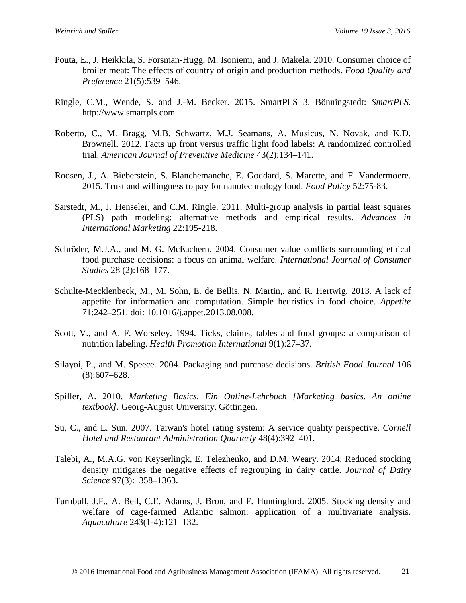- Pouta, E., J. Heikkila, S. Forsman-Hugg, M. Isoniemi, and J. Makela. 2010. Consumer choice of broiler meat: The effects of country of origin and production methods. *Food Quality and Preference* 21(5):539–546.
- Ringle, C.M., Wende, S. and J.-M. Becker. 2015. SmartPLS 3. Bönningstedt: *SmartPLS.* http://www.smartpls.com.
- Roberto, C., M. Bragg, M.B. Schwartz, M.J. Seamans, A. Musicus, N. Novak, and K.D. Brownell. 2012. Facts up front versus traffic light food labels: A randomized controlled trial. *American Journal of Preventive Medicine* 43(2):134–141.
- Roosen, J., A. Bieberstein, S. Blanchemanche, E. Goddard, S. Marette, and F. Vandermoere. 2015. Trust and willingness to pay for nanotechnology food. *Food Policy* 52:75-83.
- Sarstedt, M., J. Henseler, and C.M. Ringle. 2011. Multi-group analysis in partial least squares (PLS) path modeling: alternative methods and empirical results. *Advances in International Marketing* 22:195-218.
- Schröder, M.J.A., and M. G. McEachern. 2004. Consumer value conflicts surrounding ethical food purchase decisions: a focus on animal welfare. *International Journal of Consumer Studies* 28 (2):168–177.
- Schulte-Mecklenbeck, M., M. Sohn, E. de Bellis, N. Martin,. and R. Hertwig. 2013. A lack of appetite for information and computation. Simple heuristics in food choice. *Appetite* 71:242–251. doi: 10.1016/j.appet.2013.08.008.
- Scott, V., and A. F. Worseley. 1994. Ticks, claims, tables and food groups: a comparison of nutrition labeling. *Health Promotion International* 9(1):27–37.
- Silayoi, P., and M. Speece. 2004. Packaging and purchase decisions. *British Food Journal* 106 (8):607–628.
- Spiller, A. 2010. *Marketing Basics. Ein Online-Lehrbuch [Marketing basics. An online textbook].* Georg-August University, Göttingen.
- Su, C., and L. Sun. 2007. Taiwan's hotel rating system: A service quality perspective. *Cornell Hotel and Restaurant Administration Quarterly* 48(4):392–401.
- [Talebi,](http://www.sciencedirect.com/science/article/pii/S0022030214000149) A., M.A.G. [von Keyserlingk,](http://www.sciencedirect.com/science/article/pii/S0022030214000149) E. [Telezhenko,](http://www.sciencedirect.com/science/article/pii/S0022030214000149) and D.M. [Weary.](http://www.sciencedirect.com/science/article/pii/S0022030214000149) 2014. Reduced stocking density mitigates the negative effects of regrouping in dairy cattle. *Journal of Dairy Science* 97(3):1358–1363.
- Turnbull, J.F., A. Bell, C.E. Adams, J. Bron, and F. Huntingford. 2005. Stocking density and welfare of cage-farmed Atlantic salmon: application of a multivariate analysis. *Aquaculture* 243(1-4):121–132.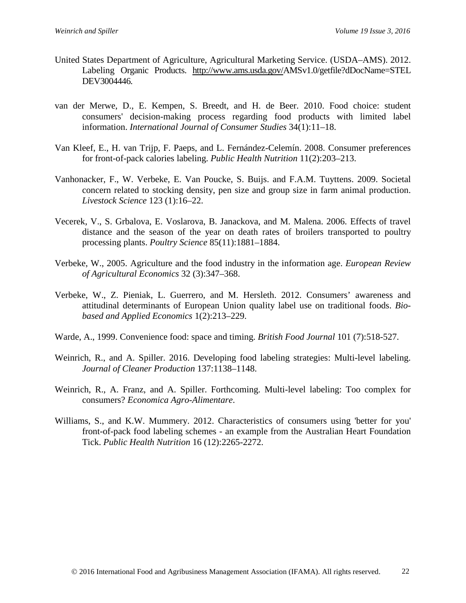- United States Department of Agriculture, Agricultural Marketing Service. (USDA–AMS). 2012. Labeling Organic Products. [http://www.ams.usda.gov/A](http://www.ams.usda.gov/)MSv1.0/getfile?dDocName=STEL DEV3004446.
- van der Merwe, D., E. Kempen, S. Breedt, and H. de Beer. 2010. Food choice: student consumers' decision-making process regarding food products with limited label information. *International Journal of Consumer Studies* 34(1):11–18.
- Van Kleef, E., H. van Trijp, F. Paeps, and L. Fernández-Celemín. 2008. Consumer preferences for front-of-pack calories labeling. *Public Health Nutrition* 11(2):203–213.
- Vanhonacker, F., W. Verbeke, E. Van Poucke, S. Buijs. and F.A.M. Tuyttens. 2009. Societal concern related to stocking density, pen size and group size in farm animal production. *Livestock Science* 123 (1):16–22.
- Vecerek, V., S. Grbalova, E. Voslarova, B. Janackova, and M. Malena. 2006. Effects of travel distance and the season of the year on death rates of broilers transported to poultry processing plants. *Poultry Science* 85(11):1881–1884.
- Verbeke, W., 2005. Agriculture and the food industry in the information age. *European Review of Agricultural Economics* 32 (3):347–368.
- Verbeke, W., Z. Pieniak, L. Guerrero, and M. Hersleth. 2012. Consumers' awareness and attitudinal determinants of European Union quality label use on traditional foods. *Biobased and Applied Economics* 1(2):213–229.
- Warde, A., 1999. Convenience food: space and timing. *British Food Journal* 101 (7):518-527.
- Weinrich, R., and A. Spiller. 2016. Developing food labeling strategies: Multi-level labeling. *Journal of Cleaner Production* 137:1138–1148.
- Weinrich, R., A. Franz, and A. Spiller. Forthcoming. Multi-level labeling: Too complex for consumers? *Economica Agro-Alimentare*.
- Williams, S., and K.W. Mummery. 2012. Characteristics of consumers using 'better for you' front-of-pack food labeling schemes - an example from the Australian Heart Foundation Tick. *Public Health Nutrition* 16 (12):2265-2272.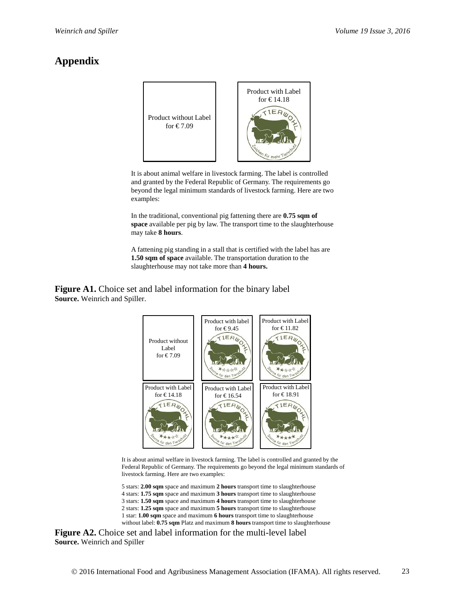# **Appendix**



It is about animal welfare in livestock farming. The label is controlled and granted by the Federal Republic of Germany. The requirements go beyond the legal minimum standards of livestock farming. Here are two examples:

In the traditional, conventional pig fattening there are **0.75 sqm of space** available per pig by law. The transport time to the slaughterhouse may take **8 hours**.

A fattening pig standing in a stall that is certified with the label has are **1.50 sqm of space** available. The transportation duration to the slaughterhouse may not take more than **4 hours.**

**Figure A1.** Choice set and label information for the binary label **Source.** Weinrich and Spiller.



It is about animal welfare in livestock farming. The label is controlled and granted by the Federal Republic of Germany. The requirements go beyond the legal minimum standards of livestock farming. Here are two examples:

5 stars: **2.00 sqm** space and maximum **2 hours** transport time to slaughterhouse 4 stars: **1.75 sqm** space and maximum **3 hours** transport time to slaughterhouse 3 stars: **1.50 sqm** space and maximum **4 hours** transport time to slaughterhouse 2 stars: **1.25 sqm** space and maximum **5 hours** transport time to slaughterhouse 1 star: **1.00 sqm** space and maximum **6 hours** transport time to slaughterhouse without label: **0.75 sqm** Platz and maximum **8 hours** transport time to slaughterhouse

**Figure A2.** Choice set and label information for the multi-level label **Source.** Weinrich and Spiller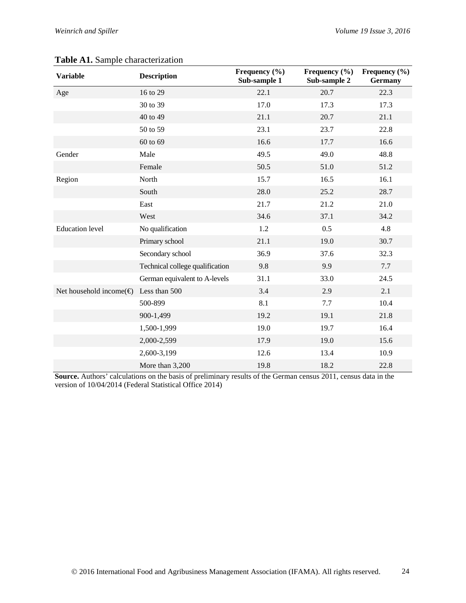| <b>Variable</b>                   | <b>Description</b>              | Frequency $(\% )$<br>Sub-sample 1 | Frequency $(\% )$<br>Sub-sample 2 | Frequency $(\% )$<br>Germany |
|-----------------------------------|---------------------------------|-----------------------------------|-----------------------------------|------------------------------|
| Age                               | 16 to 29                        | 22.1                              | 20.7                              | 22.3                         |
|                                   | 30 to 39                        | 17.0                              | 17.3                              | 17.3                         |
|                                   | 40 to 49                        | 21.1                              | 20.7                              | 21.1                         |
|                                   | 50 to 59                        | 23.1                              | 23.7                              | 22.8                         |
|                                   | 60 to 69                        | 16.6                              | 17.7                              | 16.6                         |
| Gender                            | Male                            | 49.5                              | 49.0                              | 48.8                         |
|                                   | Female                          | 50.5                              | 51.0                              | 51.2                         |
| Region                            | North                           | 15.7                              | 16.5                              | 16.1                         |
|                                   | South                           | 28.0                              | 25.2                              | 28.7                         |
|                                   | East                            | 21.7                              | 21.2                              | 21.0                         |
|                                   | West                            | 34.6                              | 37.1                              | 34.2                         |
| <b>Education</b> level            | No qualification                | 1.2                               | 0.5                               | 4.8                          |
|                                   | Primary school                  | 21.1                              | 19.0                              | 30.7                         |
|                                   | Secondary school                | 36.9                              | 37.6                              | 32.3                         |
|                                   | Technical college qualification | 9.8                               | 9.9                               | 7.7                          |
|                                   | German equivalent to A-levels   | 31.1                              | 33.0                              | 24.5                         |
| Net household income( $\bigoplus$ | Less than 500                   | 3.4                               | 2.9                               | 2.1                          |
|                                   | 500-899                         | 8.1                               | 7.7                               | 10.4                         |
|                                   | 900-1,499                       | 19.2                              | 19.1                              | 21.8                         |
|                                   | 1,500-1,999                     | 19.0                              | 19.7                              | 16.4                         |
|                                   | 2,000-2,599                     | 17.9                              | 19.0                              | 15.6                         |
|                                   | 2,600-3,199                     | 12.6                              | 13.4                              | 10.9                         |
|                                   | More than 3,200                 | 19.8                              | 18.2                              | 22.8                         |

### **Table A1.** Sample characterization

**Source.** Authors' calculations on the basis of preliminary results of the German census 2011, census data in the version of 10/04/2014 (Federal Statistical Office 2014)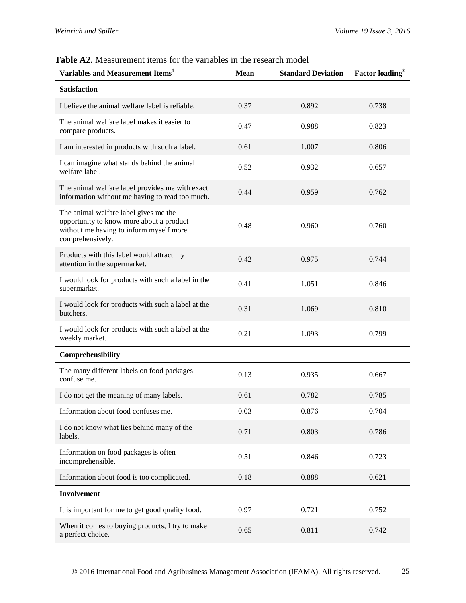| Variables and Measurement Items <sup>1</sup>                                                                                                     | Mean | <b>Standard Deviation</b> | Factor loading <sup>2</sup> |
|--------------------------------------------------------------------------------------------------------------------------------------------------|------|---------------------------|-----------------------------|
| <b>Satisfaction</b>                                                                                                                              |      |                           |                             |
| I believe the animal welfare label is reliable.                                                                                                  | 0.37 | 0.892                     | 0.738                       |
| The animal welfare label makes it easier to<br>compare products.                                                                                 | 0.47 | 0.988                     | 0.823                       |
| I am interested in products with such a label.                                                                                                   | 0.61 | 1.007                     | 0.806                       |
| I can imagine what stands behind the animal<br>welfare label.                                                                                    | 0.52 | 0.932                     | 0.657                       |
| The animal welfare label provides me with exact<br>information without me having to read too much.                                               | 0.44 | 0.959                     | 0.762                       |
| The animal welfare label gives me the<br>opportunity to know more about a product<br>without me having to inform myself more<br>comprehensively. | 0.48 | 0.960                     | 0.760                       |
| Products with this label would attract my<br>attention in the supermarket.                                                                       | 0.42 | 0.975                     | 0.744                       |
| I would look for products with such a label in the<br>supermarket.                                                                               | 0.41 | 1.051                     | 0.846                       |
| I would look for products with such a label at the<br>butchers.                                                                                  | 0.31 | 1.069                     | 0.810                       |
| I would look for products with such a label at the<br>weekly market.                                                                             | 0.21 | 1.093                     | 0.799                       |
| Comprehensibility                                                                                                                                |      |                           |                             |
| The many different labels on food packages<br>confuse me.                                                                                        | 0.13 | 0.935                     | 0.667                       |
| I do not get the meaning of many labels.                                                                                                         | 0.61 | 0.782                     | 0.785                       |
| Information about food confuses me.                                                                                                              | 0.03 | 0.876                     | 0.704                       |
| I do not know what lies behind many of the<br>labels.                                                                                            | 0.71 | 0.803                     | 0.786                       |
| Information on food packages is often<br>incomprehensible.                                                                                       | 0.51 | 0.846                     | 0.723                       |
| Information about food is too complicated.                                                                                                       | 0.18 | 0.888                     | 0.621                       |
| Involvement                                                                                                                                      |      |                           |                             |
| It is important for me to get good quality food.                                                                                                 | 0.97 | 0.721                     | 0.752                       |
| When it comes to buying products, I try to make<br>a perfect choice.                                                                             | 0.65 | 0.811                     | 0.742                       |

## **Table A2.** Measurement items for the variables in the research model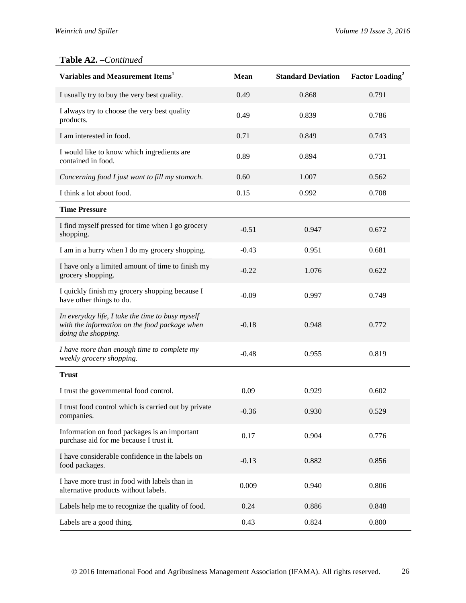### **Table A2.** –*Continued*

| Variables and Measurement Items <sup>1</sup>                                                                             | <b>Mean</b> | <b>Standard Deviation</b> | <b>Factor Loading</b> <sup>2</sup> |
|--------------------------------------------------------------------------------------------------------------------------|-------------|---------------------------|------------------------------------|
| I usually try to buy the very best quality.                                                                              | 0.49        | 0.868                     | 0.791                              |
| I always try to choose the very best quality<br>products.                                                                | 0.49        | 0.839                     | 0.786                              |
| I am interested in food.                                                                                                 | 0.71        | 0.849                     | 0.743                              |
| I would like to know which ingredients are<br>contained in food.                                                         | 0.89        | 0.894                     | 0.731                              |
| Concerning food I just want to fill my stomach.                                                                          | 0.60        | 1.007                     | 0.562                              |
| I think a lot about food.                                                                                                | 0.15        | 0.992                     | 0.708                              |
| <b>Time Pressure</b>                                                                                                     |             |                           |                                    |
| I find myself pressed for time when I go grocery<br>shopping.                                                            | $-0.51$     | 0.947                     | 0.672                              |
| I am in a hurry when I do my grocery shopping.                                                                           | $-0.43$     | 0.951                     | 0.681                              |
| I have only a limited amount of time to finish my<br>grocery shopping.                                                   | $-0.22$     | 1.076                     | 0.622                              |
| I quickly finish my grocery shopping because I<br>have other things to do.                                               | $-0.09$     | 0.997                     | 0.749                              |
| In everyday life, I take the time to busy myself<br>with the information on the food package when<br>doing the shopping. | $-0.18$     | 0.948                     | 0.772                              |
| I have more than enough time to complete my<br>weekly grocery shopping.                                                  | $-0.48$     | 0.955                     | 0.819                              |
| <b>Trust</b>                                                                                                             |             |                           |                                    |
| I trust the governmental food control.                                                                                   | 0.09        | 0.929                     | 0.602                              |
| I trust food control which is carried out by private<br>companies.                                                       | $-0.36$     | 0.930                     | 0.529                              |
| Information on food packages is an important<br>purchase aid for me because I trust it.                                  | 0.17        | 0.904                     | 0.776                              |
| I have considerable confidence in the labels on<br>food packages.                                                        | $-0.13$     | 0.882                     | 0.856                              |
| I have more trust in food with labels than in<br>alternative products without labels.                                    | 0.009       | 0.940                     | 0.806                              |
| Labels help me to recognize the quality of food.                                                                         | 0.24        | 0.886                     | 0.848                              |
| Labels are a good thing.                                                                                                 | 0.43        | 0.824                     | 0.800                              |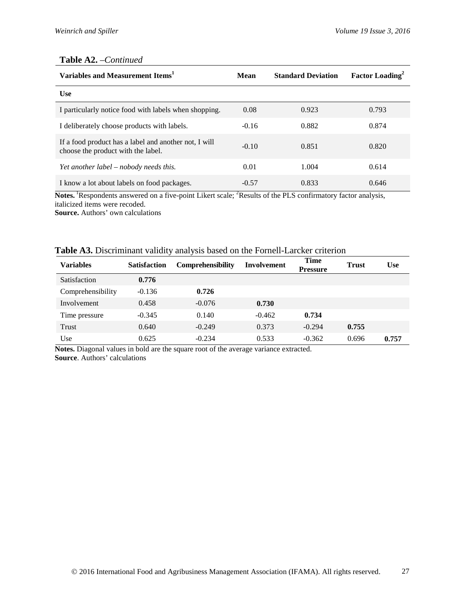### **Table A2.** –*Continued*

| Variables and Measurement Items <sup>1</sup>                                                | Mean    | <b>Standard Deviation</b> | <b>Factor Loading</b> <sup>2</sup> |
|---------------------------------------------------------------------------------------------|---------|---------------------------|------------------------------------|
| <b>Use</b>                                                                                  |         |                           |                                    |
| I particularly notice food with labels when shopping.                                       | 0.08    | 0.923                     | 0.793                              |
| I deliberately choose products with labels.                                                 | $-0.16$ | 0.882                     | 0.874                              |
| If a food product has a label and another not, I will<br>choose the product with the label. | $-0.10$ | 0.851                     | 0.820                              |
| Yet another label – nobody needs this.                                                      | 0.01    | 1.004                     | 0.614                              |
| I know a lot about labels on food packages.                                                 | $-0.57$ | 0.833                     | 0.646                              |

Notes. <sup>1</sup>Respondents answered on a five-point Likert scale; <sup>2</sup>Results of the PLS confirmatory factor analysis, italicized items were recoded.

**Source.** Authors' own calculations

| Table A3. Discriminant validity analysis based on the Fornell-Larcker criterion |
|---------------------------------------------------------------------------------|
|---------------------------------------------------------------------------------|

| <b>Variables</b>  | <b>Satisfaction</b> | Comprehensibility | <b>Involvement</b> | <b>Time</b><br><b>Pressure</b> | <b>Trust</b> | <b>Use</b> |
|-------------------|---------------------|-------------------|--------------------|--------------------------------|--------------|------------|
| Satisfaction      | 0.776               |                   |                    |                                |              |            |
| Comprehensibility | $-0.136$            | 0.726             |                    |                                |              |            |
| Involvement       | 0.458               | $-0.076$          | 0.730              |                                |              |            |
| Time pressure     | $-0.345$            | 0.140             | $-0.462$           | 0.734                          |              |            |
| Trust             | 0.640               | $-0.249$          | 0.373              | $-0.294$                       | 0.755        |            |
| Use               | 0.625               | $-0.234$          | 0.533              | $-0.362$                       | 0.696        | 0.757      |

**Notes.** Diagonal values in bold are the square root of the average variance extracted. **Source**. Authors' calculations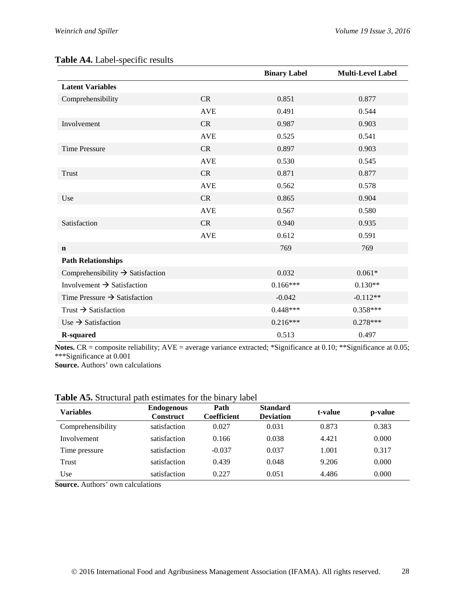### **Table A4.** Label-specific results

|                                              |            | <b>Binary Label</b> | <b>Multi-Level Label</b> |
|----------------------------------------------|------------|---------------------|--------------------------|
| <b>Latent Variables</b>                      |            |                     |                          |
| Comprehensibility                            | CR         | 0.851               | 0.877                    |
|                                              | <b>AVE</b> | 0.491               | 0.544                    |
| Involvement                                  | CR         | 0.987               | 0.903                    |
|                                              | <b>AVE</b> | 0.525               | 0.541                    |
| <b>Time Pressure</b>                         | <b>CR</b>  | 0.897               | 0.903                    |
|                                              | <b>AVE</b> | 0.530               | 0.545                    |
| <b>Trust</b>                                 | CR         | 0.871               | 0.877                    |
|                                              | <b>AVE</b> | 0.562               | 0.578                    |
| Use                                          | CR         | 0.865               | 0.904                    |
|                                              | <b>AVE</b> | 0.567               | 0.580                    |
| Satisfaction                                 | <b>CR</b>  | 0.940               | 0.935                    |
|                                              | <b>AVE</b> | 0.612               | 0.591                    |
| $\mathbf n$                                  |            | 769                 | 769                      |
| <b>Path Relationships</b>                    |            |                     |                          |
| Comprehensibility $\rightarrow$ Satisfaction |            | 0.032               | $0.061*$                 |
| Involvement $\rightarrow$ Satisfaction       |            | $0.166***$          | $0.130**$                |
| Time Pressure $\rightarrow$ Satisfaction     |            | $-0.042$            | $-0.112**$               |
| Trust $\rightarrow$ Satisfaction             |            | $0.448***$          | $0.358***$               |
| Use $\rightarrow$ Satisfaction               |            | $0.216***$          | $0.278***$               |
| <b>R-squared</b>                             |            | 0.513               | 0.497                    |

**Notes.** CR = composite reliability; AVE = average variance extracted; \*Significance at 0.10; \*\*Significance at 0.05; \*\*\*Significance at 0.001

**Source.** Authors' own calculations

| Table A5. Structural path estimates for the binary label |
|----------------------------------------------------------|
|----------------------------------------------------------|

| <b>Variables</b>  | <b>Endogenous</b><br><b>Construct</b> | Path<br>Coefficient | <b>Standard</b><br><b>Deviation</b> | t-value | p-value |
|-------------------|---------------------------------------|---------------------|-------------------------------------|---------|---------|
| Comprehensibility | satisfaction                          | 0.027               | 0.031                               | 0.873   | 0.383   |
| Involvement       | satisfaction                          | 0.166               | 0.038                               | 4.421   | 0.000   |
| Time pressure     | satisfaction                          | $-0.037$            | 0.037                               | 1.001   | 0.317   |
| Trust             | satisfaction                          | 0.439               | 0.048                               | 9.206   | 0.000   |
| Use               | satisfaction                          | 0.227               | 0.051                               | 4.486   | 0.000   |

**Source.** Authors' own calculations